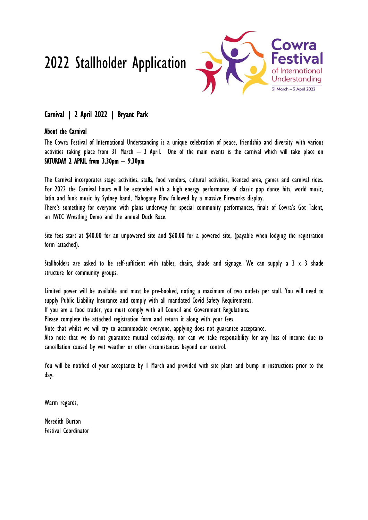# 2022 Stallholder Application



### Carnival | 2 April 2022 | Bryant Park

### About the Carnival

The Cowra Festival of International Understanding is a unique celebration of peace, friendship and diversity with various activities taking place from 31 March – 3 April. One of the main events is the carnival which will take place on SATURDAY 2 APRIL from 3.30pm – 9.30pm

The Carnival incorporates stage activities, stalls, food vendors, cultural activities, licenced area, games and carnival rides. For 2022 the Carnival hours will be extended with a high energy performance of classic pop dance hits, world music, latin and funk music by Sydney band, Mahogany Flow followed by a massive Fireworks display.

There's something for everyone with plans underway for special community performances, finals of Cowra's Got Talent, an IWCC Wrestling Demo and the annual Duck Race.

Site fees start at \$40.00 for an unpowered site and \$60.00 for a powered site, (payable when lodging the registration form attached).

Stallholders are asked to be self-sufficient with tables, chairs, shade and signage. We can supply a 3 x 3 shade structure for community groups.

Limited power will be available and must be pre-booked, noting a maximum of two outlets per stall. You will need to supply Public Liability Insurance and comply with all mandated Covid Safety Requirements.

If you are a food trader, you must comply with all Council and Government Regulations.

Please complete the attached registration form and return it along with your fees.

Note that whilst we will try to accommodate everyone, applying does not guarantee acceptance.

Also note that we do not guarantee mutual exclusivity, nor can we take responsibility for any loss of income due to cancellation caused by wet weather or other circumstances beyond our control.

You will be notified of your acceptance by 1 March and provided with site plans and bump in instructions prior to the day.

Warm regards,

Meredith Burton Festival Coordinator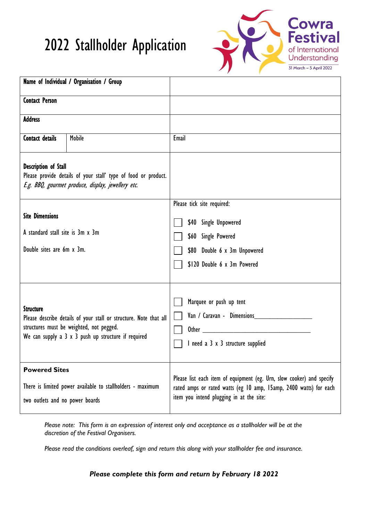## 2022 Stallholder Application



| Name of Individual / Organisation / Group                                                                                                           |                                                                                                                                                                             |                                                                                                                                                                                         |  |
|-----------------------------------------------------------------------------------------------------------------------------------------------------|-----------------------------------------------------------------------------------------------------------------------------------------------------------------------------|-----------------------------------------------------------------------------------------------------------------------------------------------------------------------------------------|--|
| <b>Contact Person</b>                                                                                                                               |                                                                                                                                                                             |                                                                                                                                                                                         |  |
| <b>Address</b>                                                                                                                                      |                                                                                                                                                                             |                                                                                                                                                                                         |  |
| <b>Contact details</b>                                                                                                                              | <b>Mobile</b>                                                                                                                                                               | Email                                                                                                                                                                                   |  |
| <b>Description of Stall</b><br>Please provide details of your stall' type of food or product.<br>E.g. BBQ, gourmet produce, display, jewellery etc. |                                                                                                                                                                             |                                                                                                                                                                                         |  |
|                                                                                                                                                     |                                                                                                                                                                             | Please tick site required:                                                                                                                                                              |  |
| <b>Site Dimensions</b>                                                                                                                              |                                                                                                                                                                             | \$40 Single Unpowered                                                                                                                                                                   |  |
| A standard stall site is 3m x 3m                                                                                                                    |                                                                                                                                                                             | \$60 Single Powered                                                                                                                                                                     |  |
| Double sites are 6m x 3m.                                                                                                                           |                                                                                                                                                                             | \$80 Double 6 x 3m Unpowered                                                                                                                                                            |  |
|                                                                                                                                                     |                                                                                                                                                                             | \$120 Double 6 x 3m Powered                                                                                                                                                             |  |
| <b>Structure</b>                                                                                                                                    | Please describe details of your stall or structure. Note that all<br>structures must be weighted, not pegged.<br>We can supply a $3 \times 3$ push up structure if required | Marquee or push up tent<br>Van / Caravan - Dimensions<br>I need a 3 x 3 structure supplied                                                                                              |  |
| <b>Powered Sites</b><br>two outlets and no power boards                                                                                             | There is limited power available to stallholders - maximum                                                                                                                  | Please list each item of equipment (eg. Urn, slow cooker) and specify<br>rated amps or rated watts (eg 10 amp, 15 amp, 2400 watts) for each<br>item you intend plugging in at the site: |  |

*Please note: This form is an expression of interest only and acceptance as a stallholder will be at the discretion of the Festival Organisers.*

*Please read the conditions overleaf, sign and return this along with your stallholder fee and insurance.*

*Please complete this form and return by February 18 2022*